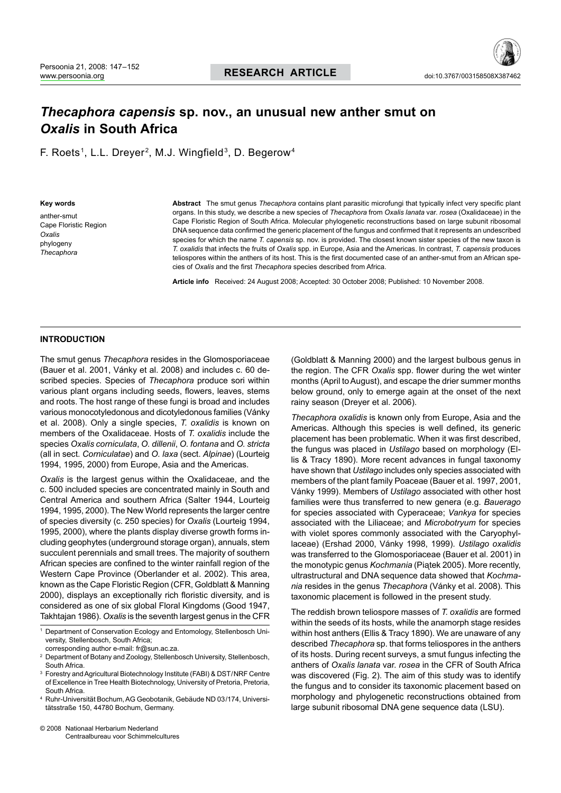# Thecaphora capensis sp. nov., an unusual new anther smut on **Oxalis in South Africa**

F. Roets<sup>1</sup>, L.L. Drever<sup>2</sup>, M.J. Wingfield<sup>3</sup>, D. Begerow<sup>4</sup>

Key words

anther-smut Cape Floristic Region Oxalis phylogeny Thecaphora

Abstract The smut genus Thecaphora contains plant parasitic microfungi that typically infect very specific plant organs. In this study, we describe a new species of Thecaphora from Oxalis lanata var. rosea (Oxalidaceae) in the Cape Floristic Region of South Africa. Molecular phylogenetic reconstructions based on large subunit ribosomal DNA sequence data confirmed the generic placement of the fungus and confirmed that it represents an undescribed species for which the name T. capensis sp. nov. is provided. The closest known sister species of the new taxon is T. oxalidis that infects the fruits of Oxalis spp. in Europe, Asia and the Americas. In contrast, T. capensis produces teliospores within the anthers of its host. This is the first documented case of an anther-smut from an African species of Oxalis and the first Thecaphora species described from Africa.

Article info Received: 24 August 2008; Accepted: 30 October 2008; Published: 10 November 2008.

## **INTRODUCTION**

The smut genus Thecaphora resides in the Glomosporiaceae (Bauer et al. 2001, Vánky et al. 2008) and includes c. 60 described species. Species of Thecaphora produce sori within various plant organs including seeds, flowers, leaves, stems and roots. The host range of these fungi is broad and includes various monocotyledonous and dicotyledonous families (Vánky et al. 2008). Only a single species, T. oxalidis is known on members of the Oxalidaceae. Hosts of T. oxalidis include the species Oxalis corniculata, O. dillenii, O. fontana and O. stricta (all in sect. Corniculatae) and O. laxa (sect. Alpinae) (Lourteig 1994, 1995, 2000) from Europe, Asia and the Americas.

Oxalis is the largest genus within the Oxalidaceae, and the c. 500 included species are concentrated mainly in South and Central America and southern Africa (Salter 1944, Lourteig 1994, 1995, 2000). The New World represents the larger centre of species diversity (c. 250 species) for Oxalis (Lourteig 1994, 1995, 2000), where the plants display diverse growth forms including geophytes (underground storage organ), annuals, stem succulent perennials and small trees. The majority of southern African species are confined to the winter rainfall region of the Western Cape Province (Oberlander et al. 2002). This area, known as the Cape Floristic Region (CFR, Goldblatt & Manning 2000), displays an exceptionally rich floristic diversity, and is considered as one of six global Floral Kingdoms (Good 1947, Takhtajan 1986). Oxalis is the seventh largest genus in the CFR

corresponding author e-mail: fr@sun.ac.za.

(Goldblatt & Manning 2000) and the largest bulbous genus in the region. The CFR Oxalis spp. flower during the wet winter months (April to August), and escape the drier summer months below ground, only to emerge again at the onset of the next rainy season (Dreyer et al. 2006).

Thecaphora oxalidis is known only from Europe, Asia and the Americas. Although this species is well defined, its generic placement has been problematic. When it was first described, the fungus was placed in Ustilago based on morphology (Ellis & Tracy 1890). More recent advances in fungal taxonomy have shown that Ustilago includes only species associated with members of the plant family Poaceae (Bauer et al. 1997, 2001, Vánky 1999). Members of Ustilago associated with other host families were thus transferred to new genera (e.g. Bauerago for species associated with Cyperaceae; Vankya for species associated with the Liliaceae; and Microbotryum for species with violet spores commonly associated with the Caryophyllaceae) (Ershad 2000, Vánky 1998, 1999). Ustilago oxalidis was transferred to the Glomosporiaceae (Bauer et al. 2001) in the monotypic genus Kochmania (Piatek 2005). More recently, ultrastructural and DNA sequence data showed that Kochmania resides in the genus Thecaphora (Vánky et al. 2008). This taxonomic placement is followed in the present study.

The reddish brown teliospore masses of T. oxalidis are formed within the seeds of its hosts, while the anamorph stage resides within host anthers (Ellis & Tracy 1890). We are unaware of any described Thecaphora sp. that forms teliospores in the anthers of its hosts. During recent surveys, a smut fungus infecting the anthers of Oxalis lanata var. rosea in the CFR of South Africa was discovered (Fig. 2). The aim of this study was to identify the fungus and to consider its taxonomic placement based on morphology and phylogenetic reconstructions obtained from large subunit ribosomal DNA gene sequence data (LSU).

<sup>&</sup>lt;sup>1</sup> Department of Conservation Ecology and Entomology, Stellenbosch University, Stellenbosch, South Africa;

<sup>&</sup>lt;sup>2</sup> Department of Botany and Zoology, Stellenbosch University, Stellenbosch, South Africa.

<sup>&</sup>lt;sup>3</sup> Forestry and Agricultural Biotechnology Institute (FABI) & DST/NRF Centre of Excellence in Tree Health Biotechnology, University of Pretoria, Pretoria, South Africa.

<sup>&</sup>lt;sup>4</sup> Ruhr-Universität Bochum, AG Geobotanik, Gebäude ND 03/174, Universitätsstraße 150, 44780 Bochum, Germany.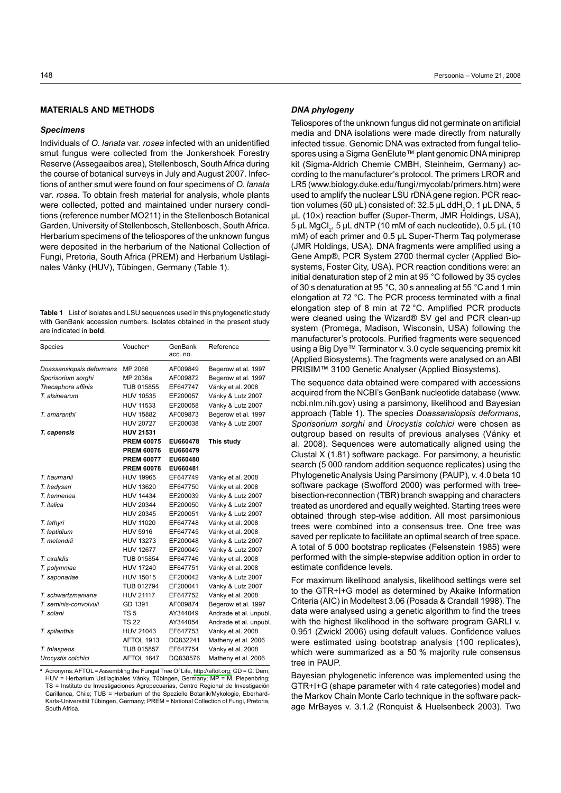## **MATERIALS AND METHODS**

#### **Specimens**

Individuals of O. lanata var. rosea infected with an unidentified smut fungus were collected from the Jonkershoek Forestry Reserve (Assegaaibos area), Stellenbosch, South Africa during the course of botanical surveys in July and August 2007. Infections of anther smut were found on four specimens of O. lanata var. rosea. To obtain fresh material for analysis, whole plants were collected, potted and maintained under nursery conditions (reference number MO211) in the Stellenbosch Botanical Garden, University of Stellenbosch, Stellenbosch, South Africa. Herbarium specimens of the teliospores of the unknown fungus were deposited in the herbarium of the National Collection of Fungi, Pretoria, South Africa (PREM) and Herbarium Ustilaginales Vánky (HUV), Tübingen, Germany (Table 1).

Table 1 List of isolates and LSU sequences used in this phylogenetic study with GenBank accession numbers. Isolates obtained in the present study are indicated in **bold** 

| Species                  | Voucher <sup>a</sup> | GenBank<br>acc. no. | Reference              |
|--------------------------|----------------------|---------------------|------------------------|
| Doassansiopsis deformans | MP 2066              | AF009849            | Begerow et al. 1997    |
| Sporisorium sorghi       | MP 2036a             | AF009872            | Begerow et al. 1997    |
| Thecaphora affinis       | TUB 015855           | EF647747            | Vánky et al. 2008      |
| T. alsinearum            | <b>HUV 10535</b>     | EF200057            | Vánky & Lutz 2007      |
|                          | <b>HUV 11533</b>     | EF200058            | Vánky & Lutz 2007      |
| T. amaranthi             | <b>HUV 15882</b>     | AF009873            | Begerow et al. 1997    |
|                          | <b>HUV 20727</b>     | EF200038            | Vánky & Lutz 2007      |
| T. capensis              | <b>HUV 21531</b>     |                     |                        |
|                          | <b>PREM 60075</b>    | EU660478            | This study             |
|                          | <b>PREM 60076</b>    | EU660479            |                        |
|                          | <b>PREM 60077</b>    | EU660480            |                        |
|                          | <b>PREM 60078</b>    | EU660481            |                        |
| T. haumanii              | <b>HUV 19965</b>     | EF647749            | Vánky et al. 2008      |
| T. hedysari              | <b>HUV 13620</b>     | EF647750            | Vánky et al. 2008      |
| T. hennenea              | <b>HUV 14434</b>     | EF200039            | Vánky & Lutz 2007      |
| T. italica               | <b>HUV 20344</b>     | EF200050            | Vánky & Lutz 2007      |
|                          | HUV 20345            | EF200051            | Vánky & Lutz 2007      |
| T. lathyri               | <b>HUV 11020</b>     | EF647748            | Vánky et al. 2008      |
| T. leptidium             | <b>HUV 5916</b>      | EF647745            | Vánky et al. 2008      |
| T. melandrii             | <b>HUV 13273</b>     | EF200048            | Vánky & Lutz 2007      |
|                          | <b>HUV 12677</b>     | EF200049            | Vánky & Lutz 2007      |
| T. oxalidis              | TUB 015854           | EF647746            | Vánky et al. 2008      |
| T. polymniae             | <b>HUV 17240</b>     | EF647751            | Vánky et al. 2008      |
| T. saponariae            | <b>HUV 15015</b>     | EF200042            | Vánky & Lutz 2007      |
|                          | TUB 012794           | EF200041            | Vánky & Lutz 2007      |
| T. schwartzmaniana       | <b>HUV 21117</b>     | EF647752            | Vánky et al. 2008      |
| T. seminis-convolvuli    | GD 1391              | AF009874            | Begerow et al. 1997    |
| T. solani                | TS <sub>5</sub>      | AY344049            | Andrade et al. unpubl. |
|                          | <b>TS 22</b>         | AY344054            | Andrade et al. unpubl. |
| T. spilanthis            | <b>HUV 21043</b>     | EF647753            | Vánky et al. 2008      |
|                          | AFTOL 1913           | DQ832241            | Matheny et al. 2006    |
| T. thlaspeos             | TUB 015857           | EF647754            | Vánky et al. 2008      |
| Urocystis colchici       | AFTOL 1647           | DQ838576            | Matheny et al. 2006    |

<sup>a</sup> Acronyms: AFTOL = Assembling the Fungal Tree Of Life, http://aftol.org; GD = G. Dem; HUV = Herbarium Ustilaginales Vánky, Tübingen, Germany; MP = M. Piepenbring; TS = Instituto de Investigaciones Agropecuarias, Centro Regional de Investigación Carillanca, Chile; TUB = Herbarium of the Spezielle Botanik/Mykologie, Eberhard-Karls-Universität Tübingen, Germany; PREM = National Collection of Fungi, Pretoria, South Africa

## **DNA** phylogeny

Teliospores of the unknown fungus did not germinate on artificial media and DNA isolations were made directly from naturally infected tissue. Genomic DNA was extracted from fungal teliospores using a Sigma GenElute™ plant genomic DNA miniprep kit (Sigma-Aldrich Chemie CMBH, Steinheim, Germany) according to the manufacturer's protocol. The primers LROR and LR5 (www.biology.duke.edu/fungi/mycolab/primers.htm) were used to amplify the nuclear LSU rDNA gene region. PCR reaction volumes (50 µL) consisted of: 32.5 µL ddH<sub>2</sub>O, 1 µL DNA, 5  $\mu$ L (10 $\times$ ) reaction buffer (Super-Therm, JMR Holdings, USA), 5 µL MgCl<sub>3</sub>, 5 µL dNTP (10 mM of each nucleotide), 0.5 µL (10 mM) of each primer and 0.5 µL Super-Therm Tag polymerase (JMR Holdings, USA). DNA fragments were amplified using a Gene Amp®, PCR System 2700 thermal cycler (Applied Biosystems, Foster City, USA). PCR reaction conditions were: an initial denaturation step of 2 min at 95 °C followed by 35 cycles of 30 s denaturation at 95 °C, 30 s annealing at 55 °C and 1 min elongation at 72 °C. The PCR process terminated with a final elongation step of 8 min at 72 °C. Amplified PCR products were cleaned using the Wizard® SV gel and PCR clean-up system (Promega, Madison, Wisconsin, USA) following the manufacturer's protocols. Purified fragments were sequenced using a Big Dye™ Terminator v. 3.0 cycle sequencing premix kit (Applied Biosystems). The fragments were analysed on an ABI PRISIM™ 3100 Genetic Analyser (Applied Biosystems).

The sequence data obtained were compared with accessions acquired from the NCBI's GenBank nucleotide database (www. ncbi.nlm.nih.gov) using a parsimony, likelihood and Bayesian approach (Table 1). The species Doassansiopsis deformans, Sporisorium sorghi and Urocystis colchici were chosen as outgroup based on results of previous analyses (Vánky et al. 2008). Sequences were automatically aligned using the Clustal X (1.81) software package. For parsimony, a heuristic search (5 000 random addition sequence replicates) using the Phylogenetic Analysis Using Parsimony (PAUP), v. 4.0 beta 10 software package (Swofford 2000) was performed with treebisection-reconnection (TBR) branch swapping and characters treated as unordered and equally weighted. Starting trees were obtained through step-wise addition. All most parsimonious trees were combined into a consensus tree. One tree was saved per replicate to facilitate an optimal search of tree space. A total of 5 000 bootstrap replicates (Felsenstein 1985) were performed with the simple-stepwise addition option in order to estimate confidence levels.

For maximum likelihood analysis, likelihood settings were set to the GTR+I+G model as determined by Akaike Information Criteria (AIC) in Modeltest 3.06 (Posada & Crandall 1998). The data were analysed using a genetic algorithm to find the trees with the highest likelihood in the software program GARLI v. 0.951 (Zwickl 2006) using default values. Confidence values were estimated using bootstrap analysis (100 replicates), which were summarized as a 50 % majority rule consensus tree in PAUP.

Bayesian phylogenetic inference was implemented using the GTR+I+G (shape parameter with 4 rate categories) model and the Markov Chain Monte Carlo technique in the software package MrBayes v. 3.1.2 (Ronguist & Huelsenbeck 2003). Two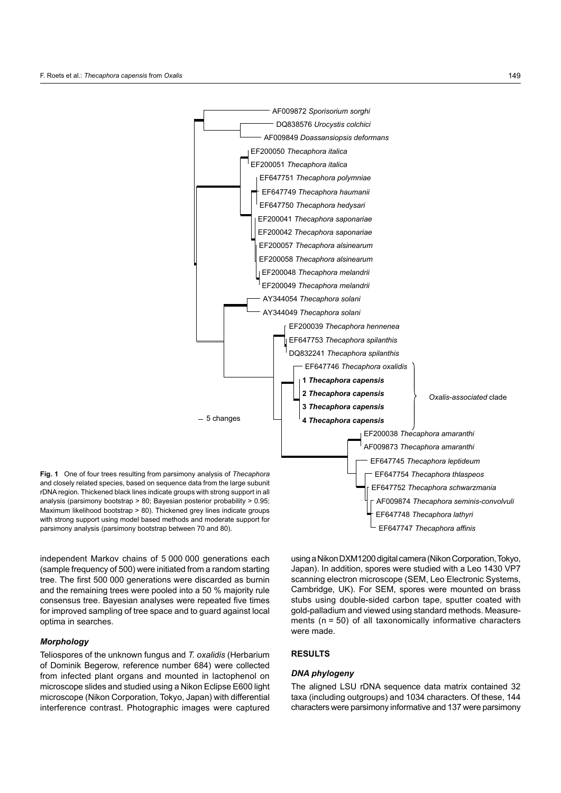

with strong support using model based methods and moderate support for parsimony analysis (parsimony bootstrap between 70 and 80).

independent Markov chains of 5 000 000 generations each (sample frequency of 500) were initiated from a random starting tree. The first 500 000 generations were discarded as burnin and the remaining trees were pooled into a 50 % majority rule consensus tree. Bayesian analyses were repeated five times for improved sampling of tree space and to guard against local optima in searches.

## **Morphology**

Teliospores of the unknown fungus and T. oxalidis (Herbarium of Dominik Begerow, reference number 684) were collected from infected plant organs and mounted in lactophenol on microscope slides and studied using a Nikon Eclipse E600 light microscope (Nikon Corporation, Tokyo, Japan) with differential interference contrast. Photographic images were captured

using a Nikon DXM1200 digital camera (Nikon Corporation, Tokyo, Japan). In addition, spores were studied with a Leo 1430 VP7 scanning electron microscope (SEM, Leo Electronic Systems, Cambridge, UK). For SEM, spores were mounted on brass stubs using double-sided carbon tape, sputter coated with gold-palladium and viewed using standard methods. Measurements ( $n = 50$ ) of all taxonomically informative characters were made.

EF647747 Thecaphora affinis

## **RESULTS**

#### **DNA phylogeny**

The aligned LSU rDNA sequence data matrix contained 32 taxa (including outgroups) and 1034 characters. Of these, 144 characters were parsimony informative and 137 were parsimony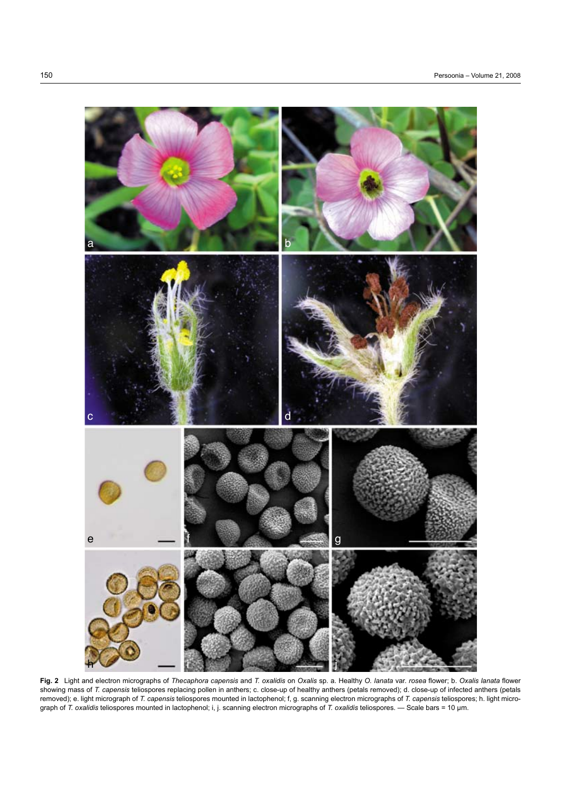

Fig. 2 Light and electron micrographs of Thecaphora capensis and T. oxalidis on Oxalis sp. a. Healthy O. lanata var. rosea flower; b. Oxalis lanata flower showing mass of T. capensis teliospores replacing pollen in anthers; c. close-up of healthy anthers (petals removed); d. close-up of infected anthers (petals removed); e. light micrograph of T. capensis teliospores mounted in lactophenol; f, g. scanning electron micrographs of T. capensis teliospores; h. light micrograph of T. oxalidis teliospores mounted in lactophenol; i, j. scanning electron micrographs of T. oxalidis teliospores. - Scale bars = 10 µm.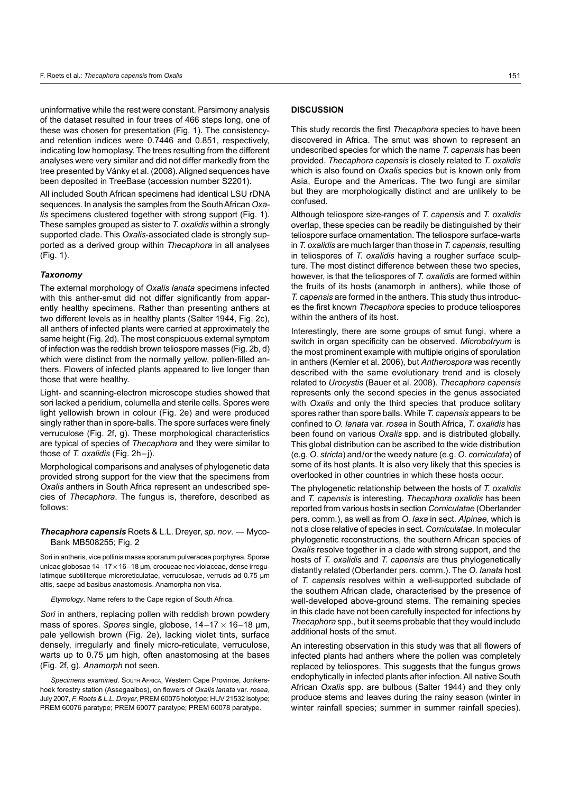uninformative while the rest were constant. Parsimony analysis of the dataset resulted in four trees of 466 steps long, one of these was chosen for presentation (Fig. 1). The consistencyand retention indices were 0.7446 and 0.851, respectively, indicating low homoplasy. The trees resulting from the different analyses were very similar and did not differ markedly from the tree presented by Vánky et al. (2008). Aligned sequences have been deposited in TreeBase (accession number S2201).

All included South African specimens had identical LSU rDNA sequences. In analysis the samples from the South African Oxalis specimens clustered together with strong support (Fig. 1). These samples grouped as sister to T. oxalidis within a strongly supported clade. This Oxalis-associated clade is strongly supported as a derived group within Thecaphora in all analyses (Fig. 1).

### **Taxonomy**

The external morphology of Oxalis lanata specimens infected with this anther-smut did not differ significantly from apparently healthy specimens. Rather than presenting anthers at two different levels as in healthy plants (Salter 1944, Fig. 2c), all anthers of infected plants were carried at approximately the same height (Fig. 2d). The most conspicuous external symptom of infection was the reddish brown teliospore masses (Fig. 2b, d) which were distinct from the normally yellow, pollen-filled anthers. Flowers of infected plants appeared to live longer than those that were healthy.

Light- and scanning-electron microscope studies showed that sori lacked a peridium, columella and sterile cells. Spores were light yellowish brown in colour (Fig. 2e) and were produced singly rather than in spore-balls. The spore surfaces were finely verruculose (Fig. 2f, g). These morphological characteristics are typical of species of Thecaphora and they were similar to those of  $T$ . oxalidis (Fig. 2h-j).

Morphological comparisons and analyses of phylogenetic data provided strong support for the view that the specimens from Oxalis anthers in South Africa represent an undescribed species of Thecaphora. The fungus is, therefore, described as follows:

### Thecaphora capensis Roets & L.L. Dreyer, sp. nov. - Myco-Bank MB508255; Fig. 2

Sori in antheris, vice pollinis massa sporarum pulveracea porphyrea. Sporae unicae globosae  $14-17 \times 16-18$  µm, crocueae nec violaceae, dense irregulatimque subtiliterque microreticulatae, verruculosae, verrucis ad 0.75 µm altis, saepe ad basibus anastomosis. Anamorpha non visa.

Etymology. Name refers to the Cape region of South Africa.

Sori in anthers, replacing pollen with reddish brown powdery mass of spores. Spores single, globose, 14-17 x 16-18 µm, pale yellowish brown (Fig. 2e), lacking violet tints, surface densely, irregularly and finely micro-reticulate, verruculose, warts up to 0.75 µm high, often anastomosing at the bases (Fig. 2f, g). Anamorph not seen.

Specimens examined. SOUTH AFRICA, Western Cape Province, Jonkershoek forestry station (Assegaaibos), on flowers of Oxalis lanata var. rosea, July 2007, F. Roets & L.L. Dreyer, PREM 60075 holotype; HUV 21532 isotype; PREM 60076 paratype; PREM 60077 paratype; PREM 60078 paratype.

#### **DISCUSSION**

This study records the first Thecaphora species to have been discovered in Africa. The smut was shown to represent an undescribed species for which the name T, capensis has been provided. Thecaphora capensis is closely related to T. oxalidis which is also found on Oxalis species but is known only from Asia, Europe and the Americas. The two fungi are similar but they are morphologically distinct and are unlikely to be confused.

Although teliospore size-ranges of T. capensis and T. oxalidis overlap, these species can be readily be distinguished by their teliospore surface ornamentation. The teliospore surface-warts in  $T$ . oxalidis are much larger than those in  $T$ . capensis, resulting in teliospores of  $T$ . oxalidis having a rougher surface sculpture. The most distinct difference between these two species, however, is that the teliospores of T. oxalidis are formed within the fruits of its hosts (anamorph in anthers), while those of T. capensis are formed in the anthers. This study thus introduces the first known Thecaphora species to produce teliospores within the anthers of its host.

Interestingly, there are some groups of smut fungi, where a switch in organ specificity can be observed. Microbotryum is the most prominent example with multiple origins of sporulation in anthers (Kemler et al. 2006), but Antherospora was recently described with the same evolutionary trend and is closely related to Urocystis (Bauer et al. 2008). Thecaphora capensis represents only the second species in the genus associated with Oxalis and only the third species that produce solitary spores rather than spore balls. While T. capensis appears to be confined to O. lanata var. rosea in South Africa, T. oxalidis has been found on various Oxalis spp. and is distributed globally. This global distribution can be ascribed to the wide distribution (e.g. O. stricta) and/or the weedy nature (e.g. O. corniculata) of some of its host plants. It is also very likely that this species is overlooked in other countries in which these hosts occur.

The phylogenetic relationship between the hosts of T. oxalidis and T. capensis is interesting. Thecaphora oxalidis has been reported from various hosts in section Corniculatae (Oberlander pers. comm.), as well as from O. laxa in sect. Alpinae, which is not a close relative of species in sect. Corniculatae. In molecular phylogenetic reconstructions, the southern African species of Oxalis resolve together in a clade with strong support, and the hosts of T. oxalidis and T. capensis are thus phylogenetically distantly related (Oberlander pers. comm.). The O. lanata host of T. capensis resolves within a well-supported subclade of the southern African clade, characterised by the presence of well-developed above-ground stems. The remaining species in this clade have not been carefully inspected for infections by Thecaphora spp., but it seems probable that they would include additional hosts of the smut.

An interesting observation in this study was that all flowers of infected plants had anthers where the pollen was completely replaced by teliospores. This suggests that the fungus grows endophytically in infected plants after infection. All native South African Oxalis spp. are bulbous (Salter 1944) and they only produce stems and leaves during the rainy season (winter in winter rainfall species; summer in summer rainfall species).